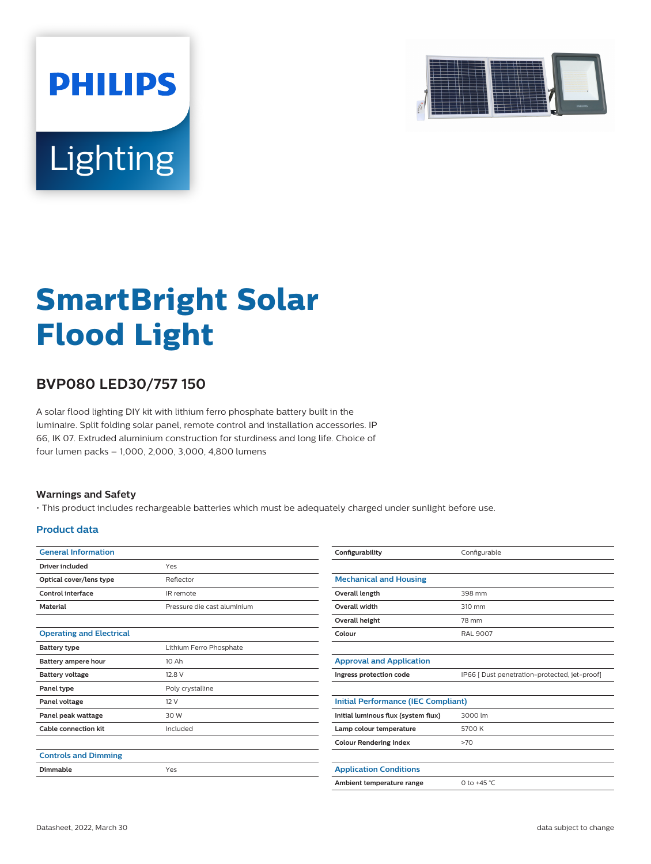

# Lighting

**PHILIPS** 

# **SmartBright Solar Flood Light**

## **BVP080 LED30/757 150**

A solar flood lighting DIY kit with lithium ferro phosphate battery built in the luminaire. Split folding solar panel, remote control and installation accessories. IP 66, IK 07. Extruded aluminium construction for sturdiness and long life. Choice of four lumen packs – 1,000, 2,000, 3,000, 4,800 lumens

#### **Warnings and Safety**

• This product includes rechargeable batteries which must be adequately charged under sunlight before use.

#### **Product data**

| <b>General Information</b>      |                             | Configurability                     | Configurable                                  |  |  |  |  |
|---------------------------------|-----------------------------|-------------------------------------|-----------------------------------------------|--|--|--|--|
| Driver included                 | Yes                         |                                     |                                               |  |  |  |  |
| Optical cover/lens type         | Reflector                   | <b>Mechanical and Housing</b>       |                                               |  |  |  |  |
| Control interface               | IR remote                   | Overall length                      | 398 mm                                        |  |  |  |  |
| <b>Material</b>                 | Pressure die cast aluminium | Overall width                       | 310 mm                                        |  |  |  |  |
|                                 |                             | Overall height                      | 78 mm                                         |  |  |  |  |
| <b>Operating and Electrical</b> |                             | Colour                              | <b>RAL 9007</b>                               |  |  |  |  |
| <b>Battery type</b>             | Lithium Ferro Phosphate     |                                     |                                               |  |  |  |  |
| Battery ampere hour             | 10 Ah                       | <b>Approval and Application</b>     |                                               |  |  |  |  |
| <b>Battery voltage</b>          | 12.8 V                      | Ingress protection code             | IP66 [ Dust penetration-protected, jet-proof] |  |  |  |  |
| Panel type                      | Poly crystalline            |                                     |                                               |  |  |  |  |
| Panel voltage                   | 12 V                        |                                     | <b>Initial Performance (IEC Compliant)</b>    |  |  |  |  |
| Panel peak wattage              | 30 W                        | Initial luminous flux (system flux) | 3000 lm                                       |  |  |  |  |
| <b>Cable connection kit</b>     | Included                    | Lamp colour temperature             | 5700 K                                        |  |  |  |  |
|                                 |                             | <b>Colour Rendering Index</b>       | >70                                           |  |  |  |  |
| <b>Controls and Dimming</b>     |                             |                                     |                                               |  |  |  |  |
| <b>Dimmable</b>                 | Yes                         | <b>Application Conditions</b>       |                                               |  |  |  |  |
|                                 |                             | Ambient temperature range           | 0 to $+45$ °C                                 |  |  |  |  |